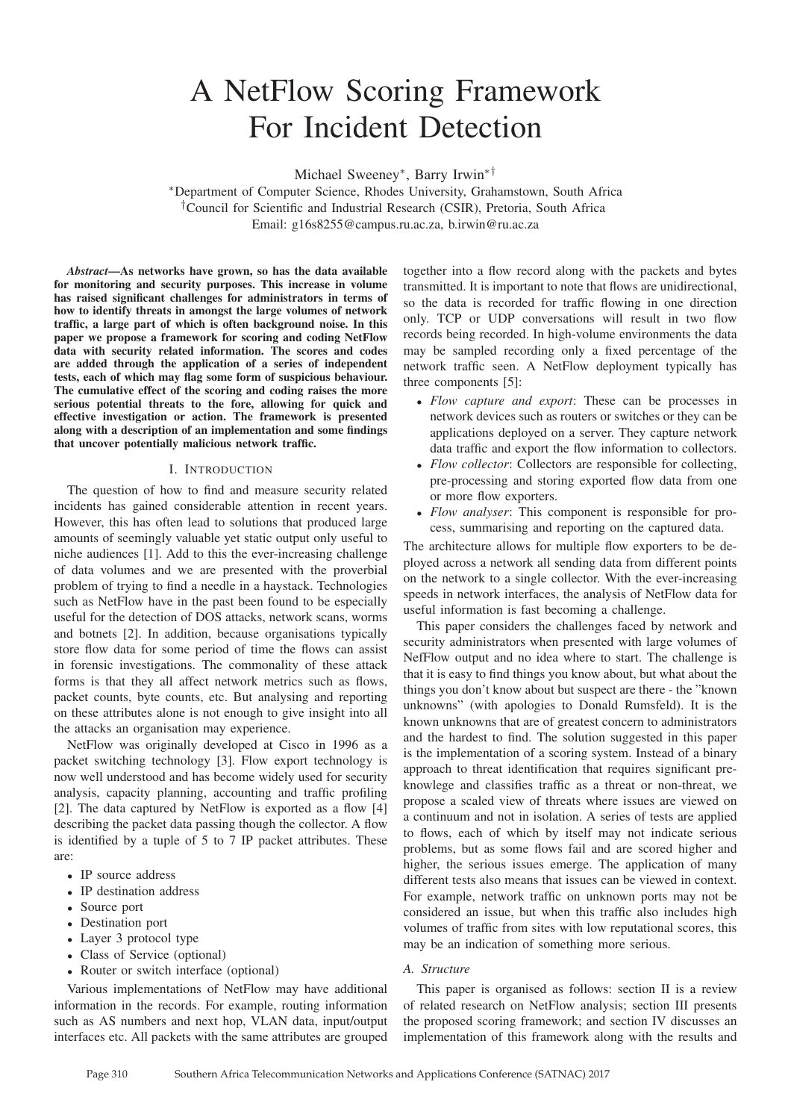# A NetFlow Scoring Framework For Incident Detection

Michael Sweeney<sup>∗</sup> , Barry Irwin∗†

<sup>∗</sup>Department of Computer Science, Rhodes University, Grahamstown, South Africa †Council for Scientific and Industrial Research (CSIR), Pretoria, South Africa Email: g16s8255@campus.ru.ac.za, b.irwin@ru.ac.za

*Abstract*—As networks have grown, so has the data available for monitoring and security purposes. This increase in volume has raised significant challenges for administrators in terms of how to identify threats in amongst the large volumes of network traffic, a large part of which is often background noise. In this paper we propose a framework for scoring and coding NetFlow data with security related information. The scores and codes are added through the application of a series of independent tests, each of which may flag some form of suspicious behaviour. The cumulative effect of the scoring and coding raises the more serious potential threats to the fore, allowing for quick and effective investigation or action. The framework is presented along with a description of an implementation and some findings that uncover potentially malicious network traffic.

#### I. INTRODUCTION

The question of how to find and measure security related incidents has gained considerable attention in recent years. However, this has often lead to solutions that produced large amounts of seemingly valuable yet static output only useful to niche audiences [1]. Add to this the ever-increasing challenge of data volumes and we are presented with the proverbial problem of trying to find a needle in a haystack. Technologies such as NetFlow have in the past been found to be especially useful for the detection of DOS attacks, network scans, worms and botnets [2]. In addition, because organisations typically store flow data for some period of time the flows can assist in forensic investigations. The commonality of these attack forms is that they all affect network metrics such as flows, packet counts, byte counts, etc. But analysing and reporting on these attributes alone is not enough to give insight into all the attacks an organisation may experience.

NetFlow was originally developed at Cisco in 1996 as a packet switching technology [3]. Flow export technology is now well understood and has become widely used for security analysis, capacity planning, accounting and traffic profiling [2]. The data captured by NetFlow is exported as a flow [4] describing the packet data passing though the collector. A flow is identified by a tuple of 5 to 7 IP packet attributes. These are:

- IP source address
- IP destination address
- Source port
- Destination port
- Layer 3 protocol type
- Class of Service (optional)
- Router or switch interface (optional)

Various implementations of NetFlow may have additional information in the records. For example, routing information such as AS numbers and next hop, VLAN data, input/output interfaces etc. All packets with the same attributes are grouped

together into a flow record along with the packets and bytes transmitted. It is important to note that flows are unidirectional, so the data is recorded for traffic flowing in one direction only. TCP or UDP conversations will result in two flow records being recorded. In high-volume environments the data may be sampled recording only a fixed percentage of the network traffic seen. A NetFlow deployment typically has three components [5]:

- *Flow capture and export*: These can be processes in network devices such as routers or switches or they can be applications deployed on a server. They capture network data traffic and export the flow information to collectors.
- *Flow collector*: Collectors are responsible for collecting, pre-processing and storing exported flow data from one or more flow exporters.
- *Flow analyser*: This component is responsible for process, summarising and reporting on the captured data.

The architecture allows for multiple flow exporters to be deployed across a network all sending data from different points on the network to a single collector. With the ever-increasing speeds in network interfaces, the analysis of NetFlow data for useful information is fast becoming a challenge.

This paper considers the challenges faced by network and security administrators when presented with large volumes of NefFlow output and no idea where to start. The challenge is that it is easy to find things you know about, but what about the things you don't know about but suspect are there - the "known unknowns" (with apologies to Donald Rumsfeld). It is the known unknowns that are of greatest concern to administrators and the hardest to find. The solution suggested in this paper is the implementation of a scoring system. Instead of a binary approach to threat identification that requires significant preknowlege and classifies traffic as a threat or non-threat, we propose a scaled view of threats where issues are viewed on a continuum and not in isolation. A series of tests are applied to flows, each of which by itself may not indicate serious problems, but as some flows fail and are scored higher and higher, the serious issues emerge. The application of many different tests also means that issues can be viewed in context. For example, network traffic on unknown ports may not be considered an issue, but when this traffic also includes high volumes of traffic from sites with low reputational scores, this may be an indication of something more serious.

#### *A. Structure*

This paper is organised as follows: section II is a review of related research on NetFlow analysis; section III presents the proposed scoring framework; and section IV discusses an implementation of this framework along with the results and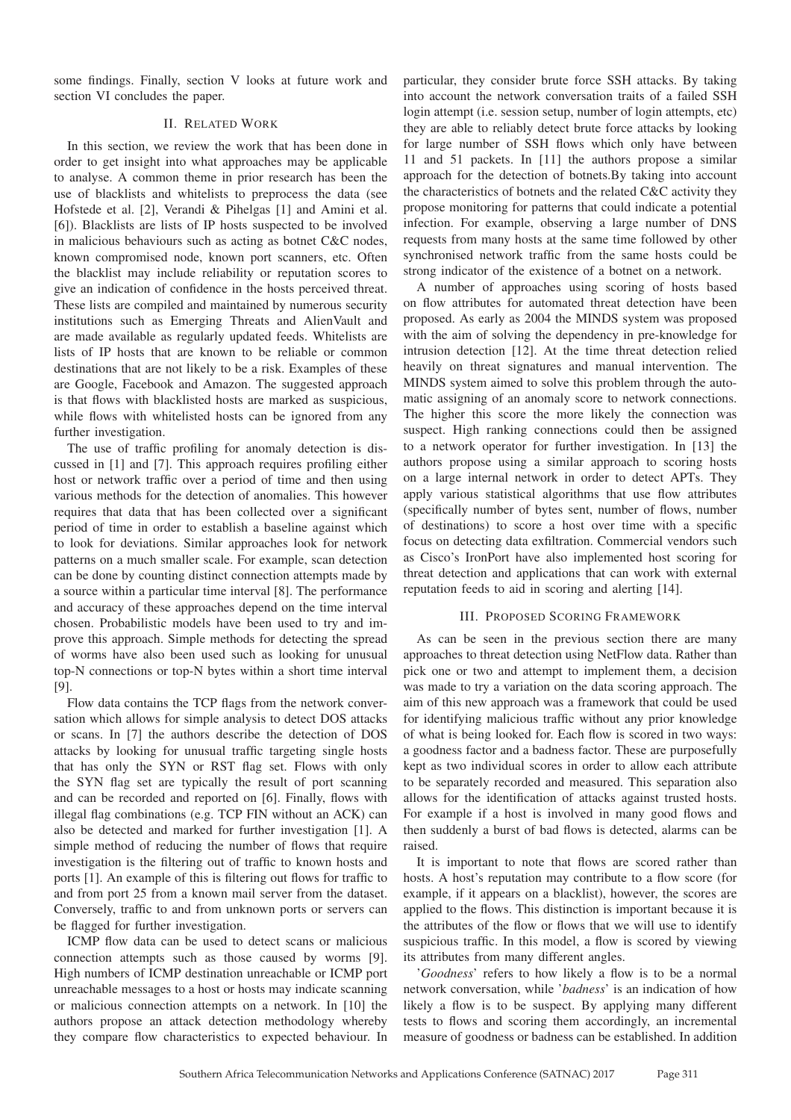some findings. Finally, section V looks at future work and section VI concludes the paper.

# II. RELATED WORK

In this section, we review the work that has been done in order to get insight into what approaches may be applicable to analyse. A common theme in prior research has been the use of blacklists and whitelists to preprocess the data (see Hofstede et al. [2], Verandi & Pihelgas [1] and Amini et al. [6]). Blacklists are lists of IP hosts suspected to be involved in malicious behaviours such as acting as botnet C&C nodes, known compromised node, known port scanners, etc. Often the blacklist may include reliability or reputation scores to give an indication of confidence in the hosts perceived threat. These lists are compiled and maintained by numerous security institutions such as Emerging Threats and AlienVault and are made available as regularly updated feeds. Whitelists are lists of IP hosts that are known to be reliable or common destinations that are not likely to be a risk. Examples of these are Google, Facebook and Amazon. The suggested approach is that flows with blacklisted hosts are marked as suspicious, while flows with whitelisted hosts can be ignored from any further investigation.

The use of traffic profiling for anomaly detection is discussed in [1] and [7]. This approach requires profiling either host or network traffic over a period of time and then using various methods for the detection of anomalies. This however requires that data that has been collected over a significant period of time in order to establish a baseline against which to look for deviations. Similar approaches look for network patterns on a much smaller scale. For example, scan detection can be done by counting distinct connection attempts made by a source within a particular time interval [8]. The performance and accuracy of these approaches depend on the time interval chosen. Probabilistic models have been used to try and improve this approach. Simple methods for detecting the spread of worms have also been used such as looking for unusual top-N connections or top-N bytes within a short time interval [9].

Flow data contains the TCP flags from the network conversation which allows for simple analysis to detect DOS attacks or scans. In [7] the authors describe the detection of DOS attacks by looking for unusual traffic targeting single hosts that has only the SYN or RST flag set. Flows with only the SYN flag set are typically the result of port scanning and can be recorded and reported on [6]. Finally, flows with illegal flag combinations (e.g. TCP FIN without an ACK) can also be detected and marked for further investigation [1]. A simple method of reducing the number of flows that require investigation is the filtering out of traffic to known hosts and ports [1]. An example of this is filtering out flows for traffic to and from port 25 from a known mail server from the dataset. Conversely, traffic to and from unknown ports or servers can be flagged for further investigation.

ICMP flow data can be used to detect scans or malicious connection attempts such as those caused by worms [9]. High numbers of ICMP destination unreachable or ICMP port unreachable messages to a host or hosts may indicate scanning or malicious connection attempts on a network. In [10] the authors propose an attack detection methodology whereby they compare flow characteristics to expected behaviour. In

particular, they consider brute force SSH attacks. By taking into account the network conversation traits of a failed SSH login attempt (i.e. session setup, number of login attempts, etc) they are able to reliably detect brute force attacks by looking for large number of SSH flows which only have between 11 and 51 packets. In [11] the authors propose a similar approach for the detection of botnets.By taking into account the characteristics of botnets and the related C&C activity they propose monitoring for patterns that could indicate a potential infection. For example, observing a large number of DNS requests from many hosts at the same time followed by other synchronised network traffic from the same hosts could be strong indicator of the existence of a botnet on a network.

A number of approaches using scoring of hosts based on flow attributes for automated threat detection have been proposed. As early as 2004 the MINDS system was proposed with the aim of solving the dependency in pre-knowledge for intrusion detection [12]. At the time threat detection relied heavily on threat signatures and manual intervention. The MINDS system aimed to solve this problem through the automatic assigning of an anomaly score to network connections. The higher this score the more likely the connection was suspect. High ranking connections could then be assigned to a network operator for further investigation. In [13] the authors propose using a similar approach to scoring hosts on a large internal network in order to detect APTs. They apply various statistical algorithms that use flow attributes (specifically number of bytes sent, number of flows, number of destinations) to score a host over time with a specific focus on detecting data exfiltration. Commercial vendors such as Cisco's IronPort have also implemented host scoring for threat detection and applications that can work with external reputation feeds to aid in scoring and alerting [14].

## III. PROPOSED SCORING FRAMEWORK

As can be seen in the previous section there are many approaches to threat detection using NetFlow data. Rather than pick one or two and attempt to implement them, a decision was made to try a variation on the data scoring approach. The aim of this new approach was a framework that could be used for identifying malicious traffic without any prior knowledge of what is being looked for. Each flow is scored in two ways: a goodness factor and a badness factor. These are purposefully kept as two individual scores in order to allow each attribute to be separately recorded and measured. This separation also allows for the identification of attacks against trusted hosts. For example if a host is involved in many good flows and then suddenly a burst of bad flows is detected, alarms can be raised.

It is important to note that flows are scored rather than hosts. A host's reputation may contribute to a flow score (for example, if it appears on a blacklist), however, the scores are applied to the flows. This distinction is important because it is the attributes of the flow or flows that we will use to identify suspicious traffic. In this model, a flow is scored by viewing its attributes from many different angles.

'*Goodness*' refers to how likely a flow is to be a normal network conversation, while '*badness*' is an indication of how likely a flow is to be suspect. By applying many different tests to flows and scoring them accordingly, an incremental measure of goodness or badness can be established. In addition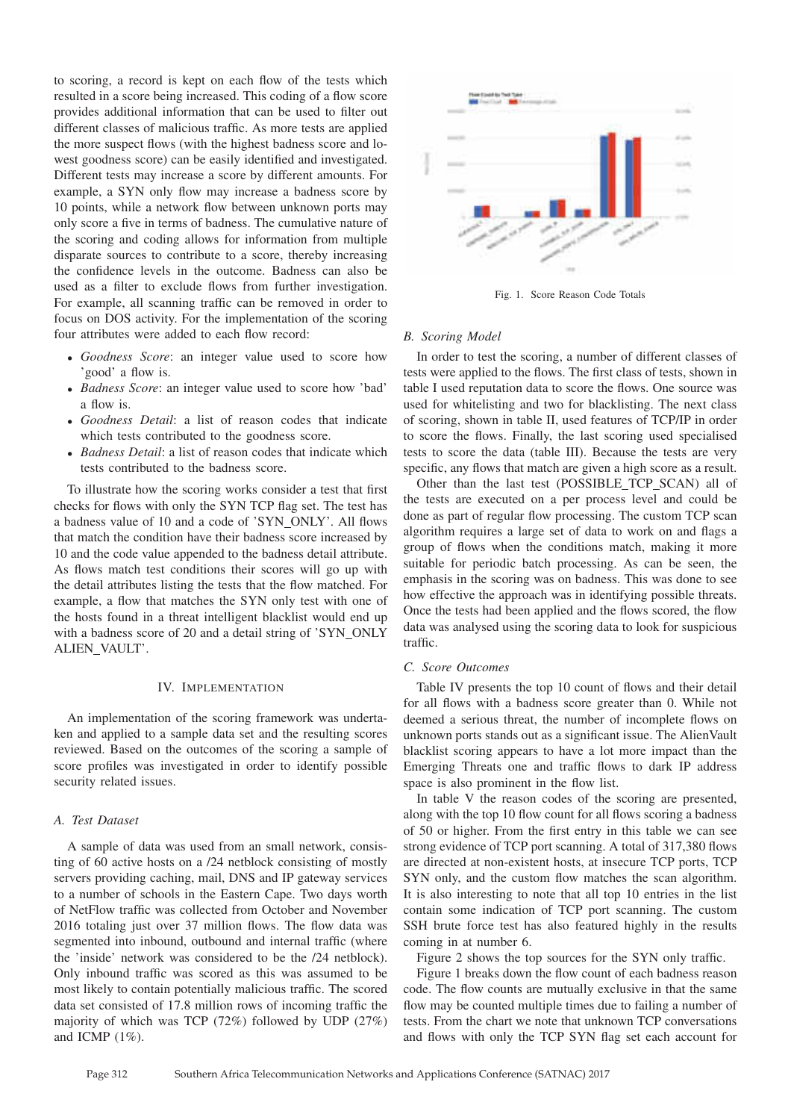to scoring, a record is kept on each flow of the tests which resulted in a score being increased. This coding of a flow score provides additional information that can be used to filter out different classes of malicious traffic. As more tests are applied the more suspect flows (with the highest badness score and lowest goodness score) can be easily identified and investigated. Different tests may increase a score by different amounts. For example, a SYN only flow may increase a badness score by 10 points, while a network flow between unknown ports may only score a five in terms of badness. The cumulative nature of the scoring and coding allows for information from multiple disparate sources to contribute to a score, thereby increasing the confidence levels in the outcome. Badness can also be used as a filter to exclude flows from further investigation. For example, all scanning traffic can be removed in order to focus on DOS activity. For the implementation of the scoring four attributes were added to each flow record:

- *Goodness Score*: an integer value used to score how 'good' a flow is.
- *Badness Score*: an integer value used to score how 'bad' a flow is.
- *Goodness Detail*: a list of reason codes that indicate which tests contributed to the goodness score.
- *Badness Detail*: a list of reason codes that indicate which tests contributed to the badness score.

To illustrate how the scoring works consider a test that first checks for flows with only the SYN TCP flag set. The test has a badness value of 10 and a code of 'SYN ONLY'. All flows that match the condition have their badness score increased by 10 and the code value appended to the badness detail attribute. As flows match test conditions their scores will go up with the detail attributes listing the tests that the flow matched. For example, a flow that matches the SYN only test with one of the hosts found in a threat intelligent blacklist would end up with a badness score of 20 and a detail string of 'SYN ONLY ALIEN VAULT'.

### IV. IMPLEMENTATION

An implementation of the scoring framework was undertaken and applied to a sample data set and the resulting scores reviewed. Based on the outcomes of the scoring a sample of score profiles was investigated in order to identify possible security related issues.

## *A. Test Dataset*

A sample of data was used from an small network, consisting of 60 active hosts on a /24 netblock consisting of mostly servers providing caching, mail, DNS and IP gateway services to a number of schools in the Eastern Cape. Two days worth of NetFlow traffic was collected from October and November 2016 totaling just over 37 million flows. The flow data was segmented into inbound, outbound and internal traffic (where the 'inside' network was considered to be the /24 netblock). Only inbound traffic was scored as this was assumed to be most likely to contain potentially malicious traffic. The scored data set consisted of 17.8 million rows of incoming traffic the majority of which was TCP (72%) followed by UDP (27%) and ICMP  $(1\%)$ .



Fig. 1. Score Reason Code Totals

#### *B. Scoring Model*

In order to test the scoring, a number of different classes of tests were applied to the flows. The first class of tests, shown in table I used reputation data to score the flows. One source was used for whitelisting and two for blacklisting. The next class of scoring, shown in table II, used features of TCP/IP in order to score the flows. Finally, the last scoring used specialised tests to score the data (table III). Because the tests are very specific, any flows that match are given a high score as a result.

Other than the last test (POSSIBLE\_TCP\_SCAN) all of the tests are executed on a per process level and could be done as part of regular flow processing. The custom TCP scan algorithm requires a large set of data to work on and flags a group of flows when the conditions match, making it more suitable for periodic batch processing. As can be seen, the emphasis in the scoring was on badness. This was done to see how effective the approach was in identifying possible threats. Once the tests had been applied and the flows scored, the flow data was analysed using the scoring data to look for suspicious traffic.

## *C. Score Outcomes*

Table IV presents the top 10 count of flows and their detail for all flows with a badness score greater than 0. While not deemed a serious threat, the number of incomplete flows on unknown ports stands out as a significant issue. The AlienVault blacklist scoring appears to have a lot more impact than the Emerging Threats one and traffic flows to dark IP address space is also prominent in the flow list.

In table V the reason codes of the scoring are presented, along with the top 10 flow count for all flows scoring a badness of 50 or higher. From the first entry in this table we can see strong evidence of TCP port scanning. A total of 317,380 flows are directed at non-existent hosts, at insecure TCP ports, TCP SYN only, and the custom flow matches the scan algorithm. It is also interesting to note that all top 10 entries in the list contain some indication of TCP port scanning. The custom SSH brute force test has also featured highly in the results coming in at number 6.

Figure 2 shows the top sources for the SYN only traffic.

Figure 1 breaks down the flow count of each badness reason code. The flow counts are mutually exclusive in that the same flow may be counted multiple times due to failing a number of tests. From the chart we note that unknown TCP conversations and flows with only the TCP SYN flag set each account for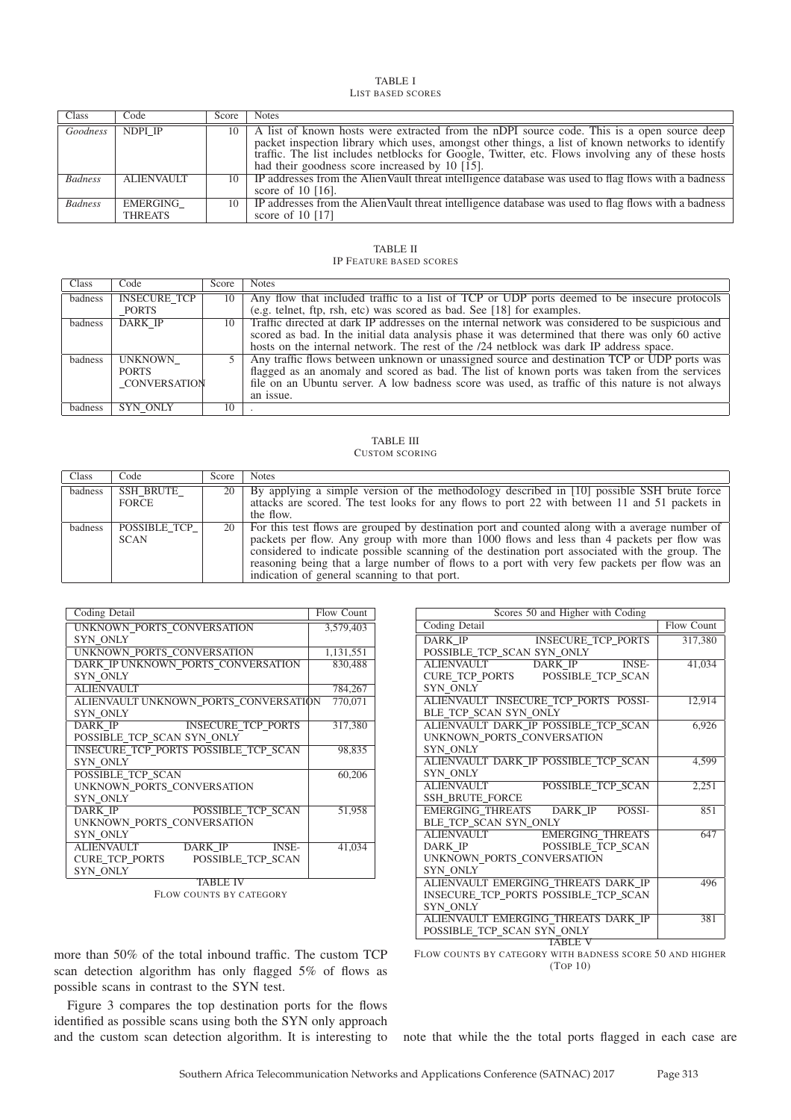#### TABLE I LIST BASED SCORES

| Class          | Code                       | Score | <b>Notes</b>                                                                                                                                                                                                                                                                                                                                               |
|----------------|----------------------------|-------|------------------------------------------------------------------------------------------------------------------------------------------------------------------------------------------------------------------------------------------------------------------------------------------------------------------------------------------------------------|
| Goodness       | NDPI IP                    |       | 10   A list of known hosts were extracted from the nDPI source code. This is a open source deep<br>packet inspection library which uses, amongst other things, a list of known networks to identify<br>traffic. The list includes netblocks for Google, Twitter, etc. Flows involving any of these hosts<br>had their goodness score increased by 10 [15]. |
| <b>Badness</b> | <b>ALIENVAULT</b>          |       | 10   IP addresses from the AlienVault threat intelligence database was used to flag flows with a badness<br>score of $10$ [16].                                                                                                                                                                                                                            |
| <b>Badness</b> | EMERGING<br><b>THREATS</b> |       | 10   IP addresses from the AlienVault threat intelligence database was used to flag flows with a badness<br>score of $10$ [17]                                                                                                                                                                                                                             |

# TABLE II

IP FEATURE BASED SCORES

| Class   | Code                | Score | <b>Notes</b>                                                                                         |  |
|---------|---------------------|-------|------------------------------------------------------------------------------------------------------|--|
| badness | <b>INSECURE TCP</b> |       | Any flow that included traffic to a list of TCP or UDP ports deemed to be insecure protocols         |  |
|         | PORTS               |       | (e.g. telnet, ftp, rsh, etc) was scored as bad. See [18] for examples.                               |  |
| badness | <b>DARK IP</b>      |       | 10 Traffic directed at dark IP addresses on the internal network was considered to be suspicious and |  |
|         |                     |       | scored as bad. In the initial data analysis phase it was determined that there was only 60 active    |  |
|         |                     |       | hosts on the internal network. The rest of the /24 netblock was dark IP address space.               |  |
| badness | <b>UNKNOWN</b>      |       | Any traffic flows between unknown or unassigned source and destination TCP or UDP ports was          |  |
|         | <b>PORTS</b>        |       | flagged as an anomaly and scored as bad. The list of known ports was taken from the services         |  |
|         | CONVERSATION        |       | file on an Ubuntu server. A low badness score was used, as traffic of this nature is not always      |  |
|         |                     |       | an issue.                                                                                            |  |
| badness | SYN ONLY            | 10    |                                                                                                      |  |

#### TABLE III CUSTOM SCORING

| Class   | Code                        | Score | <b>Notes</b>                                                                                                                                                                                                                                                                                                                                                                                                                                    |
|---------|-----------------------------|-------|-------------------------------------------------------------------------------------------------------------------------------------------------------------------------------------------------------------------------------------------------------------------------------------------------------------------------------------------------------------------------------------------------------------------------------------------------|
| badness | SSH BRUTE<br>FORCE          | 20    | By applying a simple version of the methodology described in [10] possible SSH brute force<br>attacks are scored. The test looks for any flows to port 22 with between 11 and 51 packets in<br>the flow.                                                                                                                                                                                                                                        |
| badness | POSSIBLE TCP<br><b>SCAN</b> | 20 l  | For this test flows are grouped by destination port and counted along with a average number of<br>packets per flow. Any group with more than 1000 flows and less than 4 packets per flow was<br>considered to indicate possible scanning of the destination port associated with the group. The<br>reasoning being that a large number of flows to a port with very few packets per flow was an<br>indication of general scanning to that port. |

| Coding Detail                                | Flow Count |
|----------------------------------------------|------------|
| UNKNOWN PORTS CONVERSATION                   | 3,579,403  |
| <b>SYN ONLY</b>                              |            |
| UNKNOWN PORTS CONVERSATION                   | 1,131,551  |
| DARK IP UNKNOWN PORTS CONVERSATION           | 830,488    |
| <b>SYN ONLY</b>                              |            |
| <b>ALIENVAULT</b>                            | 784,267    |
| ALIENVAULT UNKNOWN PORTS CONVERSATION        | 770,071    |
| <b>SYN ONLY</b>                              |            |
| <b>DARK IP</b><br><b>INSECURE TCP PORTS</b>  | 317,380    |
| POSSIBLE TCP SCAN SYN ONLY                   |            |
| INSECURE TCP PORTS POSSIBLE TCP SCAN         | 98,835     |
| <b>SYN ONLY</b>                              |            |
| POSSIBLE TCP SCAN                            | 60,206     |
| UNKNOWN PORTS CONVERSATION                   |            |
| <b>SYN ONLY</b>                              |            |
| POSSIBLE TCP SCAN<br><b>DARK IP</b>          | 51,958     |
| UNKNOWN PORTS CONVERSATION                   |            |
| <b>SYN ONLY</b>                              |            |
| <b>ALIENVAULT</b><br>DARK IP<br><b>INSE-</b> | 41,034     |
| <b>CURE TCP PORTS</b><br>POSSIBLE TCP SCAN   |            |
| <b>SYN ONLY</b>                              |            |
| TABLE IV                                     |            |

FLOW COUNTS BY CATEGORY

more than 50% of the total inbound traffic. The custom TCP scan detection algorithm has only flagged 5% of flows as possible scans in contrast to the SYN test.

Figure 3 compares the top destination ports for the flows identified as possible scans using both the SYN only approach and the custom scan detection algorithm. It is interesting to

| SCOTES JU and right with County               |                   |  |  |  |  |  |
|-----------------------------------------------|-------------------|--|--|--|--|--|
| <b>Coding Detail</b>                          | <b>Flow Count</b> |  |  |  |  |  |
| <b>DARK IP</b><br><b>INSECURE TCP PORTS</b>   | 317,380           |  |  |  |  |  |
| POSSIBLE_TCP_SCAN SYN_ONLY                    |                   |  |  |  |  |  |
| <b>ALIENVAULT</b><br>DARK IP<br><b>INSE-</b>  | 41,034            |  |  |  |  |  |
| CURE_TCP_PORTS<br>POSSIBLE TCP SCAN           |                   |  |  |  |  |  |
| SYN ONLY                                      |                   |  |  |  |  |  |
| ALIENVAULT INSECURE TCP PORTS POSSI-          | 12,914            |  |  |  |  |  |
| BLE TCP SCAN SYN ONLY                         |                   |  |  |  |  |  |
| ALIENVAULT DARK IP POSSIBLE TCP SCAN          | 6,926             |  |  |  |  |  |
| UNKNOWN PORTS CONVERSATION                    |                   |  |  |  |  |  |
| SYN ONLY                                      |                   |  |  |  |  |  |
| ALIENVAULT DARK IP POSSIBLE TCP SCAN          | 4,599             |  |  |  |  |  |
| <b>SYN ONLY</b>                               |                   |  |  |  |  |  |
| <b>POSSIBLE TCP SCAN</b><br><b>ALIENVAULT</b> | 2,251             |  |  |  |  |  |
| <b>SSH BRUTE FORCE</b>                        |                   |  |  |  |  |  |
| EMERGING THREATS DARK IP<br>POSSI-            | 851               |  |  |  |  |  |
| BLE TCP SCAN SYN ONLY                         |                   |  |  |  |  |  |
| <b>EMERGING THREATS</b><br><b>ALIENVAULT</b>  | 647               |  |  |  |  |  |
| POSSIBLE TCP SCAN<br>DARK IP                  |                   |  |  |  |  |  |
| UNKNOWN PORTS CONVERSATION                    |                   |  |  |  |  |  |
| SYN ONLY                                      |                   |  |  |  |  |  |
| ALIENVAULT EMERGING THREATS DARK IP           | 496               |  |  |  |  |  |
| INSECURE TCP PORTS POSSIBLE TCP SCAN          |                   |  |  |  |  |  |
| SYN ONLY                                      |                   |  |  |  |  |  |
| ALIENVAULT EMERGING THREATS DARK IP           | 381               |  |  |  |  |  |
| POSSIBLE_TCP_SCAN SYN_ONLY                    |                   |  |  |  |  |  |
| <b>TABLE V</b>                                |                   |  |  |  |  |  |

 $50 - 4$  Higher with  $C_2$  High

FLOW COUNTS BY CATEGORY WITH BADNESS SCORE 50 AND HIGHER (TOP 10)

note that while the the total ports flagged in each case are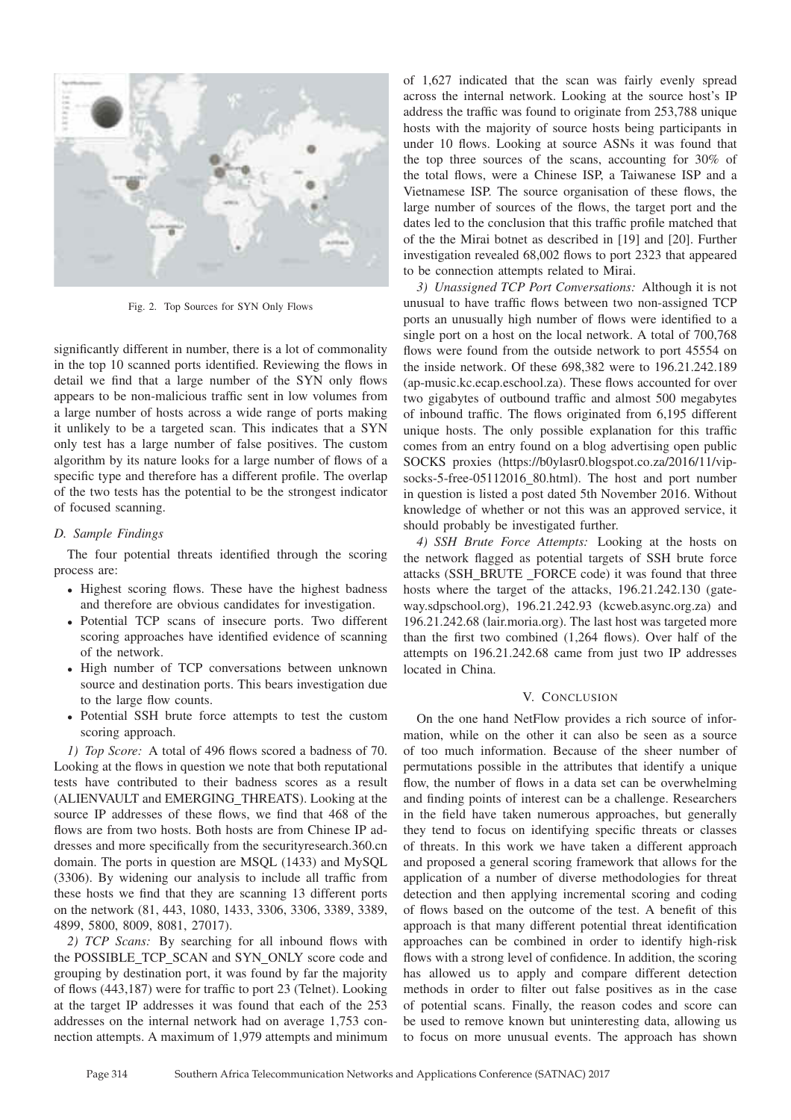

Fig. 2. Top Sources for SYN Only Flows

significantly different in number, there is a lot of commonality in the top 10 scanned ports identified. Reviewing the flows in detail we find that a large number of the SYN only flows appears to be non-malicious traffic sent in low volumes from a large number of hosts across a wide range of ports making it unlikely to be a targeted scan. This indicates that a SYN only test has a large number of false positives. The custom algorithm by its nature looks for a large number of flows of a specific type and therefore has a different profile. The overlap of the two tests has the potential to be the strongest indicator of focused scanning.

#### *D. Sample Findings*

The four potential threats identified through the scoring process are:

- Highest scoring flows. These have the highest badness and therefore are obvious candidates for investigation.
- Potential TCP scans of insecure ports. Two different scoring approaches have identified evidence of scanning of the network.
- High number of TCP conversations between unknown source and destination ports. This bears investigation due to the large flow counts.
- Potential SSH brute force attempts to test the custom scoring approach.

*1) Top Score:* A total of 496 flows scored a badness of 70. Looking at the flows in question we note that both reputational tests have contributed to their badness scores as a result (ALIENVAULT and EMERGING\_THREATS). Looking at the source IP addresses of these flows, we find that 468 of the flows are from two hosts. Both hosts are from Chinese IP addresses and more specifically from the securityresearch.360.cn domain. The ports in question are MSQL (1433) and MySQL (3306). By widening our analysis to include all traffic from these hosts we find that they are scanning 13 different ports on the network (81, 443, 1080, 1433, 3306, 3306, 3389, 3389, 4899, 5800, 8009, 8081, 27017).

*2) TCP Scans:* By searching for all inbound flows with the POSSIBLE TCP SCAN and SYN ONLY score code and grouping by destination port, it was found by far the majority of flows (443,187) were for traffic to port 23 (Telnet). Looking at the target IP addresses it was found that each of the 253 addresses on the internal network had on average 1,753 connection attempts. A maximum of 1,979 attempts and minimum

of 1,627 indicated that the scan was fairly evenly spread across the internal network. Looking at the source host's IP address the traffic was found to originate from 253,788 unique hosts with the majority of source hosts being participants in under 10 flows. Looking at source ASNs it was found that the top three sources of the scans, accounting for 30% of the total flows, were a Chinese ISP, a Taiwanese ISP and a Vietnamese ISP. The source organisation of these flows, the large number of sources of the flows, the target port and the dates led to the conclusion that this traffic profile matched that of the the Mirai botnet as described in [19] and [20]. Further investigation revealed 68,002 flows to port 2323 that appeared to be connection attempts related to Mirai.

*3) Unassigned TCP Port Conversations:* Although it is not unusual to have traffic flows between two non-assigned TCP ports an unusually high number of flows were identified to a single port on a host on the local network. A total of 700,768 flows were found from the outside network to port 45554 on the inside network. Of these 698,382 were to 196.21.242.189 (ap-music.kc.ecap.eschool.za). These flows accounted for over two gigabytes of outbound traffic and almost 500 megabytes of inbound traffic. The flows originated from 6,195 different unique hosts. The only possible explanation for this traffic comes from an entry found on a blog advertising open public SOCKS proxies (https://b0ylasr0.blogspot.co.za/2016/11/vipsocks-5-free-05112016 80.html). The host and port number in question is listed a post dated 5th November 2016. Without knowledge of whether or not this was an approved service, it should probably be investigated further.

*4) SSH Brute Force Attempts:* Looking at the hosts on the network flagged as potential targets of SSH brute force attacks (SSH\_BRUTE \_FORCE code) it was found that three hosts where the target of the attacks, 196.21.242.130 (gateway.sdpschool.org), 196.21.242.93 (kcweb.async.org.za) and 196.21.242.68 (lair.moria.org). The last host was targeted more than the first two combined (1,264 flows). Over half of the attempts on 196.21.242.68 came from just two IP addresses located in China.

## V. CONCLUSION

On the one hand NetFlow provides a rich source of information, while on the other it can also be seen as a source of too much information. Because of the sheer number of permutations possible in the attributes that identify a unique flow, the number of flows in a data set can be overwhelming and finding points of interest can be a challenge. Researchers in the field have taken numerous approaches, but generally they tend to focus on identifying specific threats or classes of threats. In this work we have taken a different approach and proposed a general scoring framework that allows for the application of a number of diverse methodologies for threat detection and then applying incremental scoring and coding of flows based on the outcome of the test. A benefit of this approach is that many different potential threat identification approaches can be combined in order to identify high-risk flows with a strong level of confidence. In addition, the scoring has allowed us to apply and compare different detection methods in order to filter out false positives as in the case of potential scans. Finally, the reason codes and score can be used to remove known but uninteresting data, allowing us to focus on more unusual events. The approach has shown